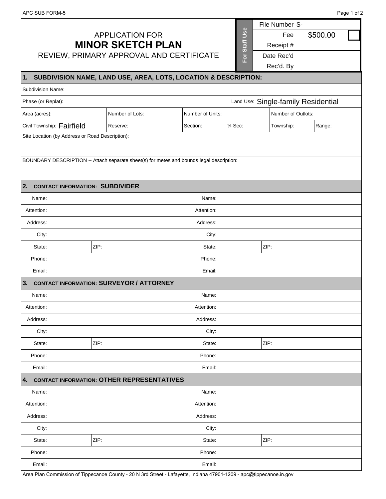r

|                                                                                                                                             |                                                 |                  |                  |  |            | File Number S-      |  |                                     |  |  |
|---------------------------------------------------------------------------------------------------------------------------------------------|-------------------------------------------------|------------------|------------------|--|------------|---------------------|--|-------------------------------------|--|--|
| <b>APPLICATION FOR</b>                                                                                                                      |                                                 |                  |                  |  |            | Fee                 |  | \$500.00                            |  |  |
| <b>MINOR SKETCH PLAN</b>                                                                                                                    |                                                 |                  | <b>Staff Use</b> |  | Receipt #  |                     |  |                                     |  |  |
| REVIEW, PRIMARY APPROVAL AND CERTIFICATE                                                                                                    |                                                 |                  | $\overline{P}$   |  | Date Rec'd |                     |  |                                     |  |  |
|                                                                                                                                             |                                                 |                  |                  |  |            | Rec'd. By           |  |                                     |  |  |
| 1. SUBDIVISION NAME, LAND USE, AREA, LOTS, LOCATION & DESCRIPTION:                                                                          |                                                 |                  |                  |  |            |                     |  |                                     |  |  |
| Subdivision Name:                                                                                                                           |                                                 |                  |                  |  |            |                     |  |                                     |  |  |
| Phase (or Replat):                                                                                                                          |                                                 |                  |                  |  |            |                     |  | Land Use: Single-family Residential |  |  |
| Area (acres):                                                                                                                               | Number of Lots:                                 | Number of Units: |                  |  |            | Number of Outlots:  |  |                                     |  |  |
| Civil Township: Fairfield                                                                                                                   | Reserve:                                        | Section:         | $%$ Sec:         |  |            | Range:<br>Township: |  |                                     |  |  |
| Site Location (by Address or Road Description):<br>BOUNDARY DESCRIPTION -- Attach separate sheet(s) for metes and bounds legal description: |                                                 |                  |                  |  |            |                     |  |                                     |  |  |
| 2. CONTACT INFORMATION: SUBDIVIDER                                                                                                          |                                                 |                  |                  |  |            |                     |  |                                     |  |  |
| Name:                                                                                                                                       |                                                 | Name:            |                  |  |            |                     |  |                                     |  |  |
| Attention:                                                                                                                                  |                                                 | Attention:       |                  |  |            |                     |  |                                     |  |  |
| Address:                                                                                                                                    |                                                 | Address:         |                  |  |            |                     |  |                                     |  |  |
| City:                                                                                                                                       |                                                 | City:            |                  |  |            |                     |  |                                     |  |  |
| ZIP:<br>State:                                                                                                                              |                                                 | State:           |                  |  | ZIP:       |                     |  |                                     |  |  |
| Phone:                                                                                                                                      |                                                 | Phone:           |                  |  |            |                     |  |                                     |  |  |
| Email:                                                                                                                                      |                                                 | Email:           |                  |  |            |                     |  |                                     |  |  |
| 3.                                                                                                                                          | <b>CONTACT INFORMATION: SURVEYOR / ATTORNEY</b> |                  |                  |  |            |                     |  |                                     |  |  |
| Name:                                                                                                                                       |                                                 | Name:            |                  |  |            |                     |  |                                     |  |  |
| Attention:                                                                                                                                  |                                                 | Attention:       |                  |  |            |                     |  |                                     |  |  |
| Address:                                                                                                                                    |                                                 | Address:         |                  |  |            |                     |  |                                     |  |  |
| City:                                                                                                                                       |                                                 | City:            |                  |  |            |                     |  |                                     |  |  |
| ZIP:<br>State:                                                                                                                              |                                                 | State:           |                  |  | ZIP:       |                     |  |                                     |  |  |
| Phone:                                                                                                                                      |                                                 | Phone:           |                  |  |            |                     |  |                                     |  |  |
| Email:                                                                                                                                      |                                                 | Email:           |                  |  |            |                     |  |                                     |  |  |
| 4. CONTACT INFORMATION: OTHER REPRESENTATIVES                                                                                               |                                                 |                  |                  |  |            |                     |  |                                     |  |  |
| Name:                                                                                                                                       |                                                 | Name:            |                  |  |            |                     |  |                                     |  |  |
| Attention:                                                                                                                                  | Attention:                                      |                  |                  |  |            |                     |  |                                     |  |  |
| Address:                                                                                                                                    | Address:                                        |                  |                  |  |            |                     |  |                                     |  |  |
| City:                                                                                                                                       |                                                 | City:            |                  |  |            |                     |  |                                     |  |  |
| ZIP:<br>State:                                                                                                                              |                                                 | State:           |                  |  | ZIP:       |                     |  |                                     |  |  |
| Phone:                                                                                                                                      |                                                 | Phone:           |                  |  |            |                     |  |                                     |  |  |
| Email:                                                                                                                                      |                                                 | Email:           |                  |  |            |                     |  |                                     |  |  |

Area Plan Commission of Tippecanoe County - 20 N 3rd Street - Lafayette, Indiana 47901-1209 - apc@tippecanoe.in.gov